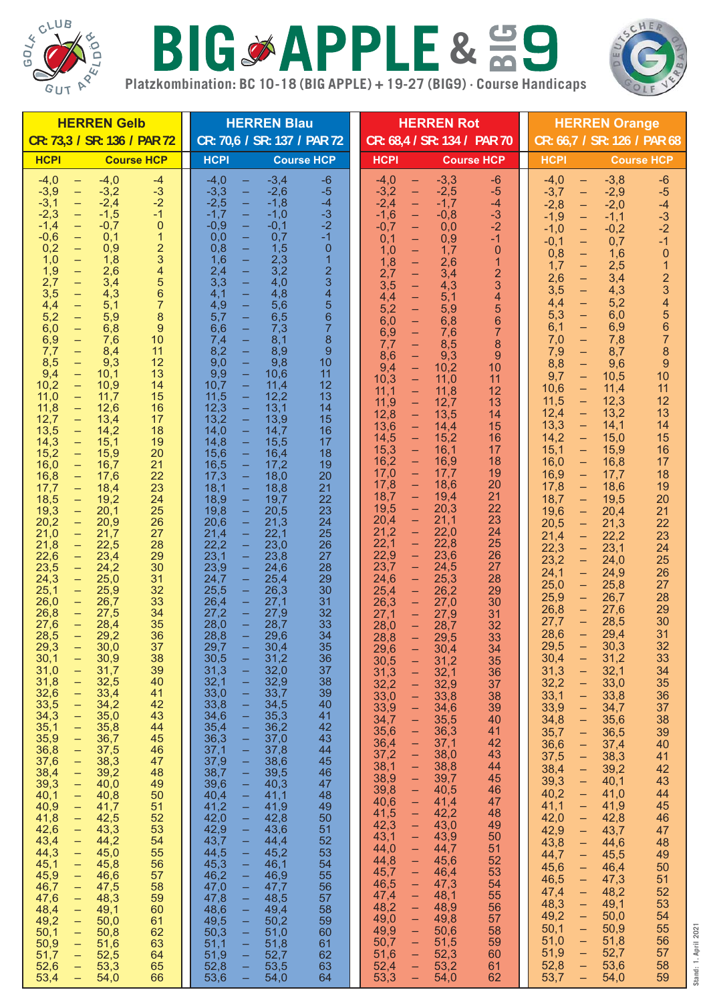

## **Platzkombination: BC 10-18 (BIG APPLE) + 19-27 (BIG9) · Course Handicaps** BIGSAPPLE& 59